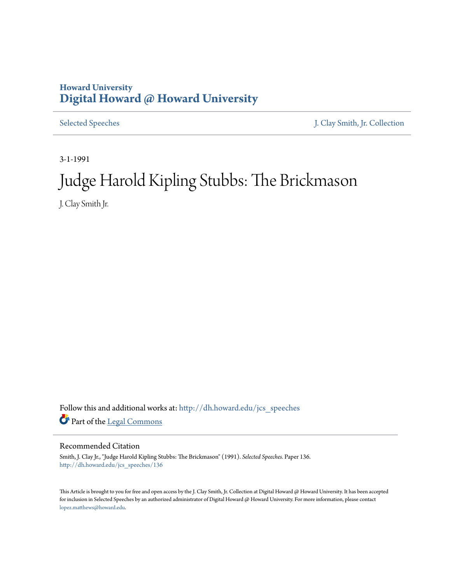## **Howard University [Digital Howard @ Howard University](http://dh.howard.edu?utm_source=dh.howard.edu%2Fjcs_speeches%2F136&utm_medium=PDF&utm_campaign=PDFCoverPages)**

[Selected Speeches](http://dh.howard.edu/jcs_speeches?utm_source=dh.howard.edu%2Fjcs_speeches%2F136&utm_medium=PDF&utm_campaign=PDFCoverPages) [J. Clay Smith, Jr. Collection](http://dh.howard.edu/jcsmith?utm_source=dh.howard.edu%2Fjcs_speeches%2F136&utm_medium=PDF&utm_campaign=PDFCoverPages)

3-1-1991

## Judge Harold Kipling Stubbs: The Brickmason

J. Clay Smith Jr.

Follow this and additional works at: [http://dh.howard.edu/jcs\\_speeches](http://dh.howard.edu/jcs_speeches?utm_source=dh.howard.edu%2Fjcs_speeches%2F136&utm_medium=PDF&utm_campaign=PDFCoverPages) Part of the [Legal Commons](http://network.bepress.com/hgg/discipline/502?utm_source=dh.howard.edu%2Fjcs_speeches%2F136&utm_medium=PDF&utm_campaign=PDFCoverPages)

## Recommended Citation

Smith, J. Clay Jr., "Judge Harold Kipling Stubbs: The Brickmason" (1991). *Selected Speeches.* Paper 136. [http://dh.howard.edu/jcs\\_speeches/136](http://dh.howard.edu/jcs_speeches/136?utm_source=dh.howard.edu%2Fjcs_speeches%2F136&utm_medium=PDF&utm_campaign=PDFCoverPages)

This Article is brought to you for free and open access by the J. Clay Smith, Jr. Collection at Digital Howard @ Howard University. It has been accepted for inclusion in Selected Speeches by an authorized administrator of Digital Howard @ Howard University. For more information, please contact [lopez.matthews@howard.edu.](mailto:lopez.matthews@howard.edu)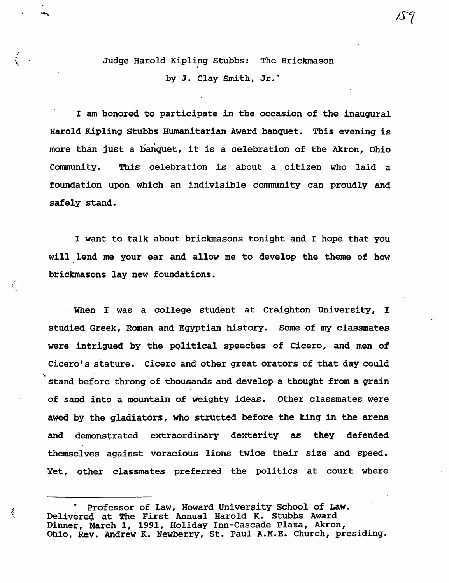## Judge Harold Kipling Stubbs: The Brickmason by J. Clay Smith, Jr."

 $\frac{1}{2}$ 

š,

ŷ

I am honored to participate in the occasion of the inaugural Harold Kipling Stubbs Humanitarian Award banquet. This evening is more than just a banquet, it is a celebration of the Akron, *Ohio*  Community. This celebration is about a citizen who laid a foundation upon which an indivisible community can proudly and safely stand.

I want to talk about brickmasons tonight and I hope that you will lend me your ear and allow me to develop the theme of how brickmasons lay new foundations •

When I was a college student at Creighton University, I studied Greek, Roman and Egyptian history. Some of my classmates were intrigued by the political speeches of *Cicero,* and men of Cicero's stature. Cicero and other great orators of that day could stand before throng of thousands and develop a thought from a grain of sand into a mountain of weighty ideas. Other classmates were awed by the gladiators, who strutted before the king *in* the arena and demonstrated extraordinary dexterity as they defended themselves against voracious lions twice their size and speed. Yet, other classmates preferred the politics at court where

Professor of Law, Howard University School of Law. Delivered at The First Annual Harold K. Stubbs Award Dinner, March 1, 1991, Holiday Inn-Cascade Plaza, Akron, Ohio, Rev. Andrew K. Newberry, St. Paul A.M.E. Church, presiding.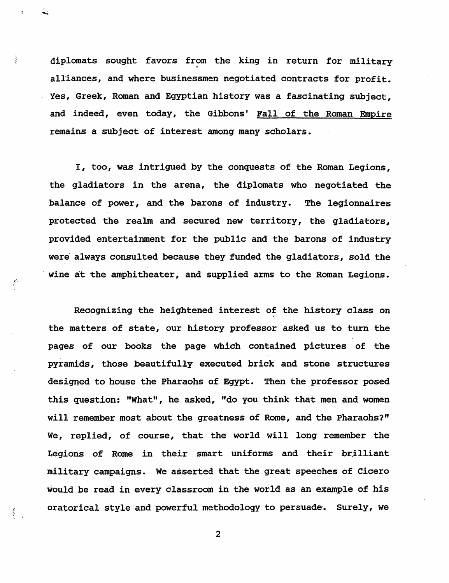diplomats sought favors from the king in return for military alliances, and where businessmen negotiated contracts for profit. Yes, Greek, Roman and Egyptian history was a fascinating subject, and indeed, even today, the Gibbons' Fall of the Roman Empire remains a subject of interest among many scholars.

I, too, was intrigued by the conquests of the Roman Legions, the gladiators in the arena, the diplomats who negotiated the balance of power, and the barons of industry. The legionnaires protected the realm and secured new territory, the gladiators, provided entertainment for the public and the barons of industry were always consulted because they funded the gladiators, sold the wine at the amphitheater, and supplied arms to the Roman Legions.

Recognizing the heightened interest of the history class on the matters of state, our history professor asked us to turn the pages of our books the page which contained pictures of the pyramids, those beautifully executed brick and stone structures designed to house the Pharaohs of Egypt. Then the professor posed this question: "What", he asked, "do you think that men and women will remember most about the greatness of Rome, and the Pharaohs?" We, replied, of course, that the world will long remember the Legions of Rome in their smart uniforms and their brilliant military campaigns. We asserted that the great speeches of Cicero would be read in every classroom in the world as an example of his oratorical style and powerful methodology to persuade. Surely, we

2

i<br>S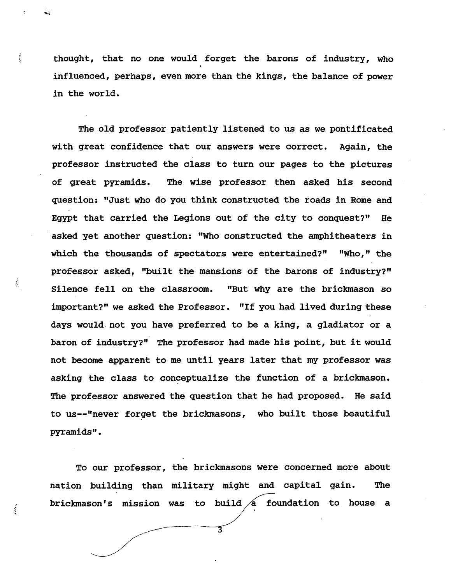$\frac{1}{2}$  thought, that no one would forget the barons of industry, who influenced, perhaps, even more than the kings, the balance of power in the world.

The old professor patiently listened to us as we pontificated with great confidence that our answers were correct. Again, the professor instructed the class to turn our pages to the pictures of great pyramids. The wise professor then asked his second question: "Just who do you think constructed the roads in Rome and Egypt that carried the Legions out of the city to conquest?" He asked yet another question: '''Who constructed the amphitheaters *in*  which the thousands of spectators were entertained?" "Who," the professor asked, "built the mansions of the barons of industry?" Silence fell on the classroom. "But why are the brickmason so important?" we asked the Professor. "If you had lived during these days would. not you have preferred to be a king, a gladiator or a baron of industry?" The professor had made his point, but it would not become apparent to me until years later that my professor was asking the class to conceptualize the function of a brickmason. The professor answered the question that he had proposed. He said to us--"never forget the brickmasons, who built those beautiful pyramids".

į

i.

To our professor, the brickmasons were concerned more about nation building than military might and capital gain. The brickmason's mission was to build  $\overline{A}$  foundation to house a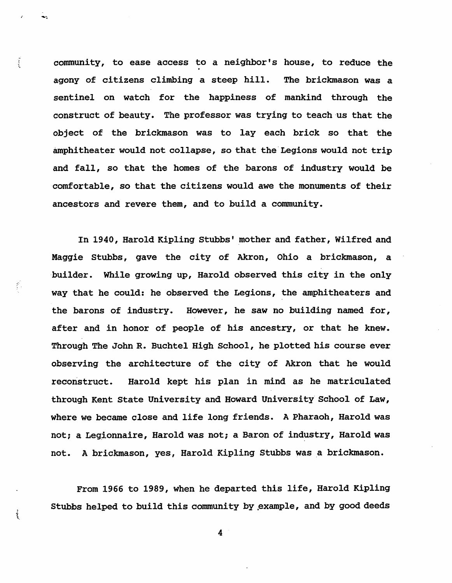community, to ease access to a neighbor's house, to reduce the agony of citizens climbing a steep hill. The brickmason was a sentinel on watch for the happiness of mankind through the construct of beauty. The professor was trying to teach us that the object of the brickmason was to lay each brick so that the amphitheater would not collapse, so that the Legions would not trip and fall, so that the homes of the barons of industry would be -comfortable, so that the citizens would awe the monuments of their ancestors and revere them, and to build a community.

 $\frac{1}{2}$ 

र्

In 1940, Harold Kipling Stubbs' mother and father, Wilfred and Maggie stubbs, gave the city of Akron, Ohio a brickmason, a -builder. While growing up, Harold observed this city in the only way that he COUld: he observed the Legions, the amphitheaters and the barons of industry. However, he saw no building named for, after and in honor of people of his ancestry, or that he knew. Through The John R. Buchtel High School, he plotted *his* course ever observing the architecture of the city of Akron that he would reconstruct. Harold kept *his* plan *in* mind as he matriculated through Kent State University and Howard University- School of Law, where we became close and life long friends. A Pharaoh, Harold was not; a Legionnaire, Harold was not; a Baron of industry, Harold was not. A brickmason, yes, Harold Kipling Stubbs was a brickmason.

From 1966 to 1989, when he departed this life, Harold Kipling stubbs helped to build this community by ,example, and by good deeds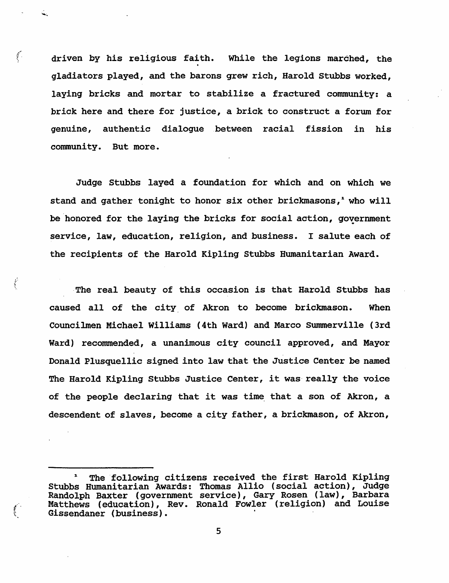driven by his religious faith. While the legions marched, the gladiators played, and the barons grew rich, Harold stubbs worked, laying bricks and mortar to stabilize a fractured community: a brick here and there for justice, a brick to construct a forum for genuine, authentic dialogue between racial fission in his community. But more.

 $\int_{-\infty}^{\infty}$ 

 $\frac{1}{2}$ 

Judge Stubbs layed a foundation for which and on which we stand and gather tonight to honor six other brickmasons,<sup>1</sup> who will be honored for the laying the bricks for social action, government service, law, education, religion, and business. I salute each of the recipients of the Harold Kipling Stubbs Humanitarian Award.

,The real beauty of this occasion *is* that Harold Stubbs has caused all of the city, of Akron to become brickmason. When Councilmen Michael Williams (4th Ward) and Marco Summerville (3rd Ward) recommended, a unanimous city council approved, and Mayor Donald Plusquellic signed into law that the Justice Center be named The Harold Kipling Stubbs Justice Center, it was really the voice of the people declaring that it was time that a son of Akron, a descendent of slaves, become a city father, a brickmason, of Akron,

<sup>&</sup>lt;sup>1</sup> The following citizens received the first Harold Kipling<br>Stubbs Humanitarian Awards: Thomas Allio (social action), Judge Randolph Baxter (government service), Gary Rosen (law), Barbara (. Matthews (education), Rev. Ronald Fowler (religion) and *Louise*  Gissendaner (business).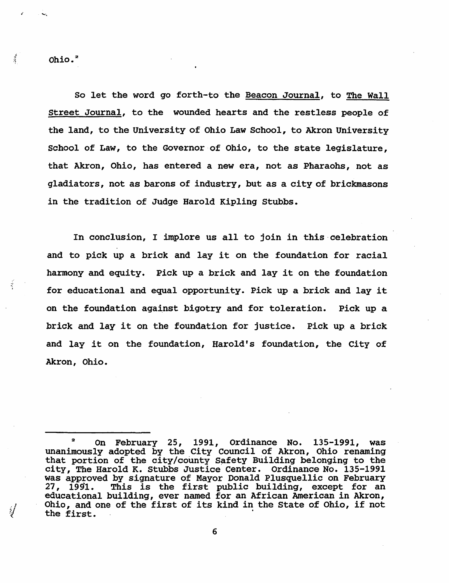Ohio.<sup>2</sup>

 $\frac{1}{2}$ 

So let the word go forth-to the Beacon Journal, to The Wall Street Journal, to the wounded hearts and the restless people of the land, to the University of Ohio Law School, to Akron University School of Law, to the Governor of Ohio, to the state legislature, that Akron, Ohio, has entered a new era, not as Pharaohs, not as gladiators, not as barons of industry, but as a city of brickmasons *in* the tradition of Judge Harold Kipling Stubbs.

In conclusion, I implore us all to join in this celebration and to pick up a brick and lay it on the foundation for racial harmony and equity. Pick up a brick and lay it on the foundation for educational and equal opportunity. Pick up a brick and lay it on the foundation against bigotry and for toleration. Pick up a brick and lay it on the foundation for justice. Pick up. a brick and lay it on the foundation, Harold's foundation, the City of Akron, Ohio.

 $2^{\circ}$  On February 25, 1991, Ordinance No. 135-1991, was unanimously adopted by the City Council of Akron, Ohio renaming that portion of the city/county Safety Building belonging to the city, The Harold K. Stubbs Justice Center. Ordinance No. 135-1991 was approved by signature of Mayor Donald Plusquellic on February 27,  $1991.$  This is the first public building, except for an educational building, ever named for an African American in Akron, *.J* Ohio, and one of the first of its kind in the State of Ohio, if not  $\mathcal{V}$  the first.